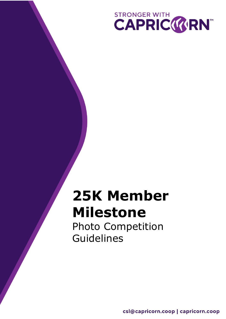

# **25K Member Milestone**

Photo Competition Guidelines

csl@capricorn.coop | capricorn.coop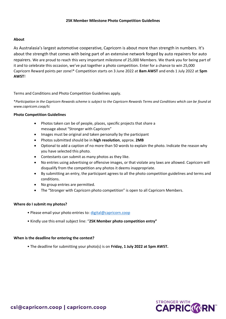#### **About**

As Australasia's largest automotive cooperative, Capricorn is about more than strength in numbers. It's about the strength that comes with being part of an extensive network forged by auto repairers for auto repairers. We are proud to reach this very important milestone of 25,000 Members. We thank you for being part of it and to celebrate this occasion, we've put together a photo competition. Enter for a chance to win 25,000 Capricorn Reward points per zone!\* Competition starts on 3 June 2022 at **8am AWST** and ends 1 July 2022 at **5pm AWST**!

Terms and Conditions and Photo Competition Guidelines apply.

\**Participation in the Capricorn Rewards scheme is subject to the Capricorn Rewards Terms and Conditions which can be found at www.capricorn.coop/tc*

#### **Photo Competition Guidelines**

- Photos taken can be of people, places, specific projects that share a message about "Stronger with Capricorn"
- Images must be original and taken personally by the participant
- Photos submitted should be in **high resolution**, approx. **2MB**
- Optional to add a caption of no more than 50 words to explain the photo. Indicate the reason why you have selected this photo.
- Contestants can submit as many photos as they like.
- No entries using advertising or offensive images, or that violate any laws are allowed. Capricorn will disqualify from the competition any photos it deems inappropriate.
- By submitting an entry, the participant agrees to all the photo competition guidelines and terms and conditions.
- No group entries are permitted.
- The "Stronger with Capricorn photo competition" is open to all Capricorn Members.

## **Where do I submit my photos?**

- Please email your photo entries to: [digital@capricorn.coop](mailto:digital@capricorn.coop)
- Kindly use this email subject line: "**25K Member photo competition entry"**

## **When is the deadline for entering the contest?**

• The deadline for submitting your photo(s) is on **Friday, 1 July 2022 at 5pm AWST.**

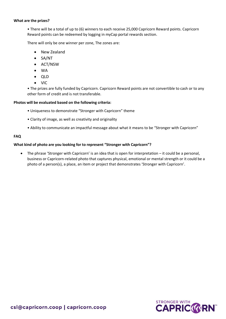#### **What are the prizes?**

• There will be a total of up to (6) winners to each receive 25,000 Capricorn Reward points. Capricorn Reward points can be redeemed by logging in myCap portal rewards section.

There will only be one winner per zone, The zones are:

- New Zealand
- SA/NT
- ACT/NSW
- WA
- QLD
- VIC

• The prizes are fully funded by Capricorn. Capricorn Reward points are not convertible to cash or to any other form of credit and is not transferable.

## **Photos will be evaluated based on the following criteria:**

- Uniqueness to demonstrate "Stronger with Capricorn" theme
- Clarity of image, as well as creativity and originality
- Ability to communicate an impactful message about what it means to be "Stronger with Capricorn"

## **FAQ**

## **What kind of photo are you looking for to represent "Stronger with Capricorn"?**

• The phrase 'Stronger with Capricorn' is an idea that is open for interpretation – it could be a personal, business or Capricorn-related photo that captures physical, emotional or mental strength or it could be a photo of a person(s), a place, an item or project that demonstrates 'Stronger with Capricorn'.